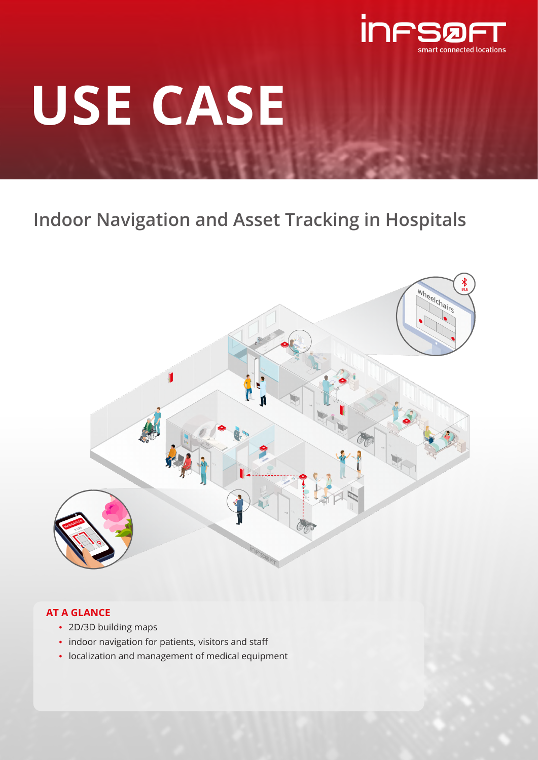

# **USE CASE**

# **Indoor Navigation and Asset Tracking in Hospitals**



## **AT A GLANCE**

- 2D/3D building maps
- indoor navigation for patients, visitors and staff
- localization and management of medical equipment